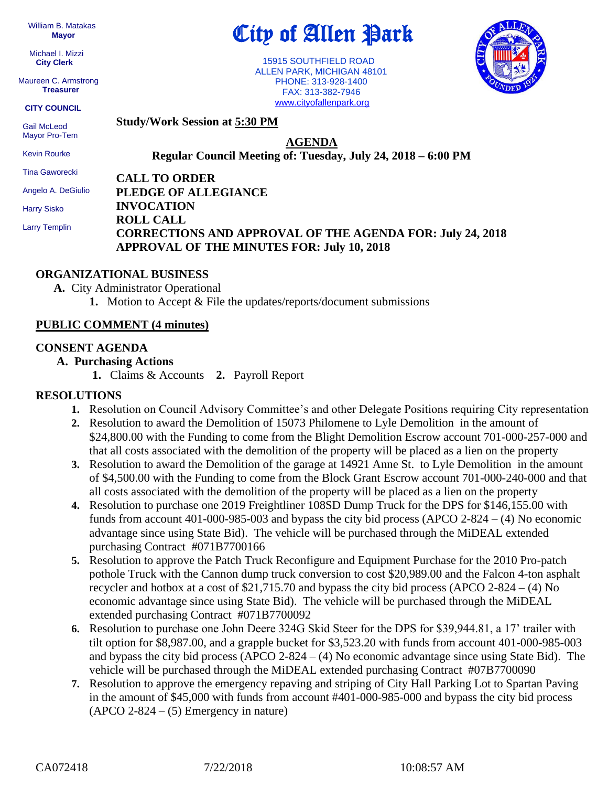William B. Matakas  **Mayor**

 Michael I. Mizzi **City Clerk**

Maureen C. Armstrong **Treasurer**

**CITY COUNCIL**

 Gail McLeod Mayor Pro-Tem

Kevin Rourke

Tina Gaworecki

Angelo A. DeGiulio

Harry Sisko

Larry Templin

City of Allen Park

 15915 SOUTHFIELD ROAD ALLEN PARK, MICHIGAN 48101 PHONE: 313-928-1400 FAX: 313-382-7946 [www.cityofallenpark.org](http://www.cityofallenpark.org/)



**Study/Work Session at 5:30 PM**

**AGENDA**

**Regular Council Meeting of: Tuesday, July 24, 2018 – 6:00 PM** 

**CALL TO ORDER PLEDGE OF ALLEGIANCE INVOCATION ROLL CALL CORRECTIONS AND APPROVAL OF THE AGENDA FOR: July 24, 2018 APPROVAL OF THE MINUTES FOR: July 10, 2018** 

# **ORGANIZATIONAL BUSINESS**

**A.** City Administrator Operational **1.** Motion to Accept & File the updates/reports/document submissions

## **PUBLIC COMMENT (4 minutes)**

## **CONSENT AGENDA**

## **A. Purchasing Actions**

**1.** Claims & Accounts **2.** Payroll Report

# **RESOLUTIONS**

- **1.** Resolution on Council Advisory Committee's and other Delegate Positions requiring City representation
- **2.** Resolution to award the Demolition of 15073 Philomene to Lyle Demolition in the amount of \$24,800.00 with the Funding to come from the Blight Demolition Escrow account 701-000-257-000 and that all costs associated with the demolition of the property will be placed as a lien on the property
- **3.** Resolution to award the Demolition of the garage at 14921 Anne St. to Lyle Demolition in the amount of \$4,500.00 with the Funding to come from the Block Grant Escrow account 701-000-240-000 and that all costs associated with the demolition of the property will be placed as a lien on the property
- **4.** Resolution to purchase one 2019 Freightliner 108SD Dump Truck for the DPS for \$146,155.00 with funds from account 401-000-985-003 and bypass the city bid process (APCO 2-824 – (4) No economic advantage since using State Bid). The vehicle will be purchased through the MiDEAL extended purchasing Contract #071B7700166
- **5.** Resolution to approve the Patch Truck Reconfigure and Equipment Purchase for the 2010 Pro-patch pothole Truck with the Cannon dump truck conversion to cost \$20,989.00 and the Falcon 4-ton asphalt recycler and hotbox at a cost of  $$21,715.70$  and bypass the city bid process (APCO 2-824 – (4) No economic advantage since using State Bid). The vehicle will be purchased through the MiDEAL extended purchasing Contract #071B7700092
- **6.** Resolution to purchase one John Deere 324G Skid Steer for the DPS for \$39,944.81, a 17' trailer with tilt option for \$8,987.00, and a grapple bucket for \$3,523.20 with funds from account 401-000-985-003 and bypass the city bid process (APCO  $2-824 - (4)$  No economic advantage since using State Bid). The vehicle will be purchased through the MiDEAL extended purchasing Contract #07B7700090
- **7.** Resolution to approve the emergency repaving and striping of City Hall Parking Lot to Spartan Paving in the amount of \$45,000 with funds from account #401-000-985-000 and bypass the city bid process  $(APCO 2-824 - (5)$  Emergency in nature)